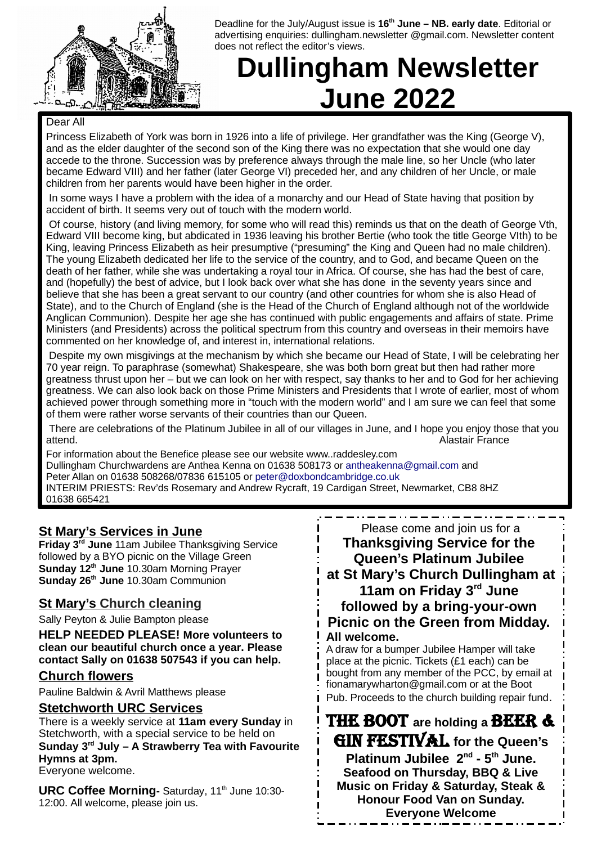

Deadline for the July/August issue is **16th June – NB. early date**. Editorial or advertising enquiries: dullingham.newsletter @gmail.com. Newsletter content does not reflect the editor's views.

# **Dullingham Newsletter June 2022**

#### Dear All

Princess Elizabeth of York was born in 1926 into a life of privilege. Her grandfather was the King (George V), and as the elder daughter of the second son of the King there was no expectation that she would one day accede to the throne. Succession was by preference always through the male line, so her Uncle (who later became Edward VIII) and her father (later George VI) preceded her, and any children of her Uncle, or male children from her parents would have been higher in the order.

In some ways I have a problem with the idea of a monarchy and our Head of State having that position by accident of birth. It seems very out of touch with the modern world.

Of course, history (and living memory, for some who will read this) reminds us that on the death of George Vth, Edward VIII become king, but abdicated in 1936 leaving his brother Bertie (who took the title George VIth) to be King, leaving Princess Elizabeth as heir presumptive ("presuming" the King and Queen had no male children). The young Elizabeth dedicated her life to the service of the country, and to God, and became Queen on the death of her father, while she was undertaking a royal tour in Africa. Of course, she has had the best of care, and (hopefully) the best of advice, but I look back over what she has done in the seventy years since and believe that she has been a great servant to our country (and other countries for whom she is also Head of State), and to the Church of England (she is the Head of the Church of England although not of the worldwide Anglican Communion). Despite her age she has continued with public engagements and affairs of state. Prime Ministers (and Presidents) across the political spectrum from this country and overseas in their memoirs have commented on her knowledge of, and interest in, international relations.

Despite my own misgivings at the mechanism by which she became our Head of State, I will be celebrating her 70 year reign. To paraphrase (somewhat) Shakespeare, she was both born great but then had rather more greatness thrust upon her – but we can look on her with respect, say thanks to her and to God for her achieving greatness. We can also look back on those Prime Ministers and Presidents that I wrote of earlier, most of whom achieved power through something more in "touch with the modern world" and I am sure we can feel that some of them were rather worse servants of their countries than our Queen.

There are celebrations of the Platinum Jubilee in all of our villages in June, and I hope you enjoy those that you attend. Alastair France

For information about the Benefice please see our website www..raddesley.com Dullingham Churchwardens are Anthea Kenna on 01638 508173 or [antheakenna@gmail.com](mailto:antheakenna@gmail.com) and Peter Allan on 01638 508268/07836 615105 or [peter@doxbondcambridge.co.uk](mailto:peter@doxbondcambridge.co.uk) INTERIM PRIESTS: Rev'ds Rosemary and Andrew Rycraft, 19 Cardigan Street, Newmarket, CB8 8HZ 01638 665421

#### **St Mary's Services in June**

**Friday 3rd June** 11am Jubilee Thanksgiving Service followed by a BYO picnic on the Village Green **Sunday 12th June** 10.30am Morning Prayer **Sunday 26th June** 10.30am Communion

#### **St Mary's Church cleaning**

Sally Peyton & Julie Bampton please

**HELP NEEDED PLEASE! More volunteers to clean our beautiful church once a year. Please contact Sally on 01638 507543 if you can help.** 

#### **Church flowers**

Pauline Baldwin & Avril Matthews please

#### **Stetchworth URC Services**

There is a weekly service at **11am every Sunday** in Stetchworth, with a special service to be held on **Sunday 3rd July – A Strawberry Tea with Favourite Hymns at 3pm.** Everyone welcome.

**URC Coffee Morning**- Saturday, 11<sup>th</sup> June 10:30-12:00. All welcome, please join us.

Please come and join us for a **Thanksgiving Service for the Queen's Platinum Jubilee at St Mary's Church Dullingham at 11am on Friday 3rd June followed by a bring-your-own Picnic on the Green from Midday. All welcome.**

A draw for a bumper Jubilee Hamper will take place at the picnic. Tickets (£1 each) can be bought from any member of the PCC, by email at fionamarywharton@gmail.com or at the Boot Pub. Proceeds to the church building repair fund.

THE BOOT **are holding a** BEER & GIN FESTIVAL **for the Queen's Platinum Jubilee 2nd - 5th June. Seafood on Thursday, BBQ & Live Music on Friday & Saturday, Steak & Honour Food Van on Sunday. Everyone Welcome**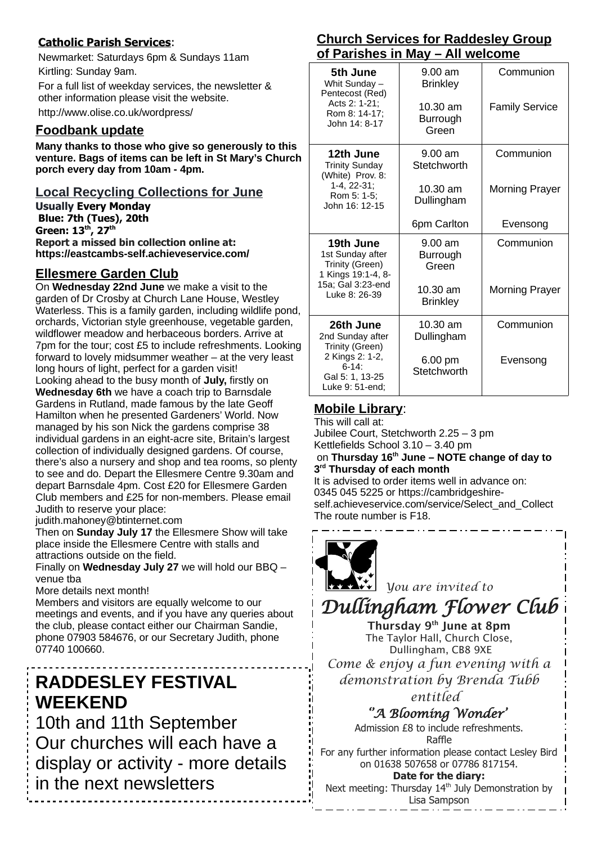#### **Catholic Parish Services**:

Newmarket: Saturdays 6pm & Sundays 11am Kirtling: Sunday 9am.

For a full list of weekday services, the newsletter & other information please visit the website.

http://www.olise.co.uk/wordpress/

#### **Foodbank update**

**Many thanks to those who give so generously to this venture. Bags of items can be left in St Mary's Church porch every day from 10am - 4pm.** 

**Local Recycling Collections for June**

**Usually Every Monday Blue: 7th (Tues), 20th Green: 13th, 27th Report a missed bin collection online at: <https://eastcambs-self.achieveservice.com/>**

#### **Ellesmere Garden Club**

On **Wednesday 22nd June** we make a visit to the garden of Dr Crosby at Church Lane House, Westley Waterless. This is a family garden, including wildlife pond, orchards, Victorian style greenhouse, vegetable garden, wildflower meadow and herbaceous borders. Arrive at 7pm for the tour; cost £5 to include refreshments. Looking forward to lovely midsummer weather – at the very least long hours of light, perfect for a garden visit! Looking ahead to the busy month of **July,** firstly on **Wednesday 6th** we have a coach trip to Barnsdale Gardens in Rutland, made famous by the late Geoff Hamilton when he presented Gardeners' World. Now managed by his son Nick the gardens comprise 38 individual gardens in an eight-acre site, Britain's largest collection of individually designed gardens. Of course, there's also a nursery and shop and tea rooms, so plenty to see and do. Depart the Ellesmere Centre 9.30am and depart Barnsdale 4pm. Cost £20 for Ellesmere Garden Club members and £25 for non-members. Please email Judith to reserve your place:

judith.mahoney@btinternet.com

Then on **Sunday July 17** the Ellesmere Show will take place inside the Ellesmere Centre with stalls and attractions outside on the field.

Finally on **Wednesday July 27** we will hold our BBQ – venue tba

More details next month!

Members and visitors are equally welcome to our meetings and events, and if you have any queries about the club, please contact either our Chairman Sandie, phone 07903 584676, or our Secretary Judith, phone 07740 100660.

# **RADDESLEY FESTIVAL WEEKEND**

10th and 11th September Our churches will each have a display or activity - more details in the next newsletters

#### **Church Services for Raddesley Group of Parishes in May – All welcome**

| 5th June<br>Whit Sunday -<br>Pentecost (Red)<br>Acts 2: 1-21;<br>Rom 8: 14-17;<br>John 14: 8-17                       | 9.00 am<br><b>Brinkley</b>    | Communion             |
|-----------------------------------------------------------------------------------------------------------------------|-------------------------------|-----------------------|
|                                                                                                                       | 10.30 am<br>Burrough<br>Green | <b>Family Service</b> |
| 12th June<br><b>Trinity Sunday</b><br>(White) Prov. 8:                                                                | 9.00 am<br>Stetchworth        | Communion             |
| 1-4, 22-31;<br>Rom 5: 1-5;<br>John 16: 12-15                                                                          | 10.30 am<br>Dullingham        | <b>Morning Prayer</b> |
|                                                                                                                       | 6pm Carlton                   | Evensong              |
| 19th June<br>1st Sunday after<br>Trinity (Green)<br>1 Kings 19:1-4, 8-<br>15a; Gal 3:23-end<br>Luke 8: 26-39          | 9.00 am<br>Burrough<br>Green  | Communion             |
|                                                                                                                       | 10.30 am<br><b>Brinkley</b>   | <b>Morning Prayer</b> |
| 26th June<br>2nd Sunday after<br>Trinity (Green)<br>2 Kings 2: 1-2,<br>$6-14$ :<br>Gal 5: 1, 13-25<br>Luke 9: 51-end: | 10.30 am<br>Dullingham        | Communion             |
|                                                                                                                       | 6.00 pm<br>Stetchworth        | Evensong              |

#### **Mobile Library**:

This will call at: Jubilee Court, Stetchworth 2.25 – 3 pm Kettlefields School 3.10 – 3.40 pm on **Thursday 16th June – NOTE change of day to 3 rd Thursday of each month** It is advised to order items well in advance on: 0345 045 5225 or https://cambridgeshireself.achieveservice.com/service/Select\_and\_Collect The route number is F18.



*You are invited to*

# *Dullingham Flower Club*

Thursday 9th June at 8pm The Taylor Hall, Church Close, Dullingham, CB8 9XE *Come & enjoy a fun evening with a demonstration by Brenda Tubb entitled* 

*''A Blooming Wonder'* 

Admission £8 to include refreshments. Raffle For any further information please contact Lesley Bird

> on 01638 507658 or 07786 817154. **Date for the diary:**

Next meeting: Thursday 14<sup>th</sup> July Demonstration by Lisa Sampson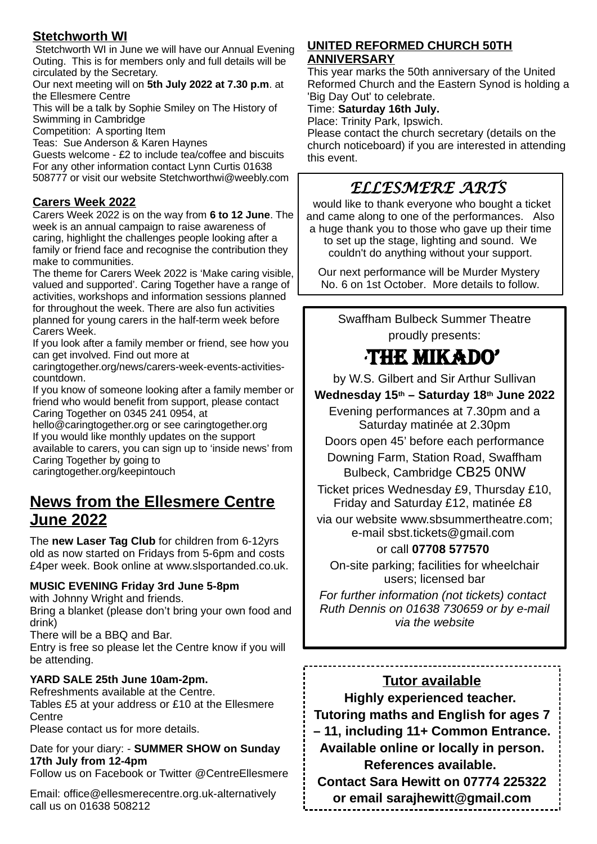#### **Stetchworth WI**

Stetchworth WI in June we will have our Annual Evening Outing. This is for members only and full details will be circulated by the Secretary.

Our next meeting will on **5th July 2022 at 7.30 p.m**. at the Ellesmere Centre

This will be a talk by Sophie Smiley on The History of Swimming in Cambridge

Competition: A sporting Item

Teas: Sue Anderson & Karen Haynes

Guests welcome - £2 to include tea/coffee and biscuits For any other information contact Lynn Curtis 01638 508777 or visit our website Stetchworthwi@weebly.com

#### **Carers Week 2022**

Carers Week 2022 is on the way from **6 to 12 June**. The week is an annual campaign to raise awareness of caring, highlight the challenges people looking after a family or friend face and recognise the contribution they make to communities.

The theme for Carers Week 2022 is 'Make caring visible, valued and supported'. Caring Together have a range of activities, workshops and information sessions planned for throughout the week. There are also fun activities planned for young carers in the half-term week before Carers Week.

If you look after a family member or friend, see how you can get involved. Find out more at

caringtogether.org/news/carers-week-events-activitiescountdown.

If you know of someone looking after a family member or friend who would benefit from support, please contact Caring Together on 0345 241 0954, at

hello@caringtogether.org or see caringtogether.org If you would like monthly updates on the support available to carers, you can sign up to 'inside news' from Caring Together by going to caringtogether.org/keepintouch

### **News from the Ellesmere Centre June 2022**

The **new Laser Tag Club** for children from 6-12yrs old as now started on Fridays from 5-6pm and costs £4per week. Book online at www.slsportanded.co.uk.

#### **MUSIC EVENING Friday 3rd June 5-8pm**

with Johnny Wright and friends.

Bring a blanket (please don't bring your own food and drink)

There will be a BBQ and Bar.

Entry is free so please let the Centre know if you will be attending.

#### **YARD SALE 25th June 10am-2pm.**

Refreshments available at the Centre. Tables £5 at your address or £10 at the Ellesmere **Centre** 

Please contact us for more details.

Date for your diary: - **SUMMER SHOW on Sunday 17th July from 12-4pm**

Follow us on Facebook or Twitter @CentreEllesmere

Email: office@ellesmerecentre.org.uk-alternatively call us on 01638 508212

#### **UNITED REFORMED CHURCH 50TH ANNIVERSARY**

This year marks the 50th anniversary of the United Reformed Church and the Eastern Synod is holding a 'Big Day Out' to celebrate.

Time: **Saturday 16th July.**

Place: Trinity Park, Ipswich.

Please contact the church secretary (details on the church noticeboard) if you are interested in attending this event.

### *ELLESMERE ARTS*

would like to thank everyone who bought a ticket and came along to one of the performances. Also a huge thank you to those who gave up their time to set up the stage, lighting and sound. We couldn't do anything without your support.

Our next performance will be Murder Mystery No. 6 on 1st October. More details to follow.

Swaffham Bulbeck Summer Theatre proudly presents:

# 'THE MIKADO'

by W.S. Gilbert and Sir Arthur Sullivan **Wednesday 15th – Saturday 18th June 2022**

Evening performances at 7.30pm and a Saturday matinée at 2.30pm Doors open 45' before each performance

Downing Farm, Station Road, Swaffham Bulbeck, Cambridge CB25 0NW

Ticket prices Wednesday £9, Thursday £10, Friday and Saturday £12, matinée £8

via our website [www.sbsummertheatre.com](http://www.sbsummertheatre.com/); e-mail [sbst.tickets@gmail.com](mailto:sbst.tickets@gmail.com)

or call **07708 577570** 

On-site parking; facilities for wheelchair users; licensed bar

*For further information (not tickets) contact [Ruth](mailto:info@sbstgands.co.uk) Dennis on 01638 730659 or by e-mail via the website*

#### **Tutor available**

**Highly experienced teacher.** 

**Tutoring maths and English for ages 7** 

**– 11, including 11+ Common Entrance. Available online or locally in person. References available.** 

**Contact Sara Hewitt on 07774 225322 or email sarajhewitt@gmail.com**